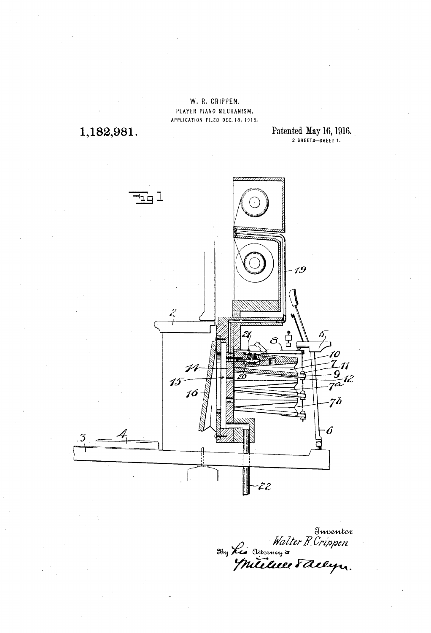W. R. CRIPPEN. PLAYER PIANO MECHANISM. APPLICATION FILED DEC. 18, 1915.

1,182,981.

Patented May 16, 1916.



Inventor<br>Walter R. Crippen<br>Millee Faelyn.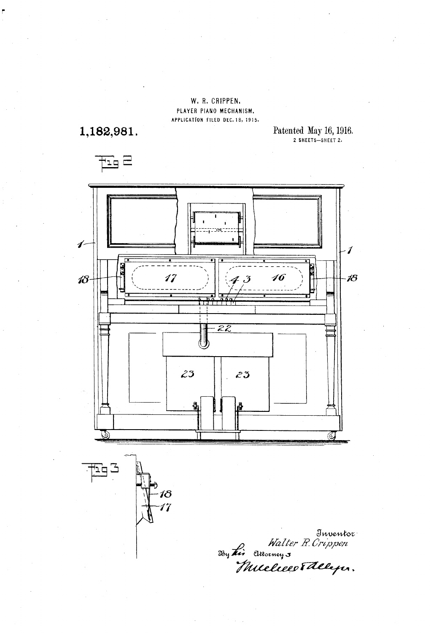W. R. CRIPPEN. PLAYER PIANO MECHANISM. APPLICATION FILED DEC. 18, 1915.

1,182,981.

Patented May 16, 1916.<br>2 SHEETS-SHEET 2.



Inventor<br>Walter R. Crippen<br>Huceliers Theleper.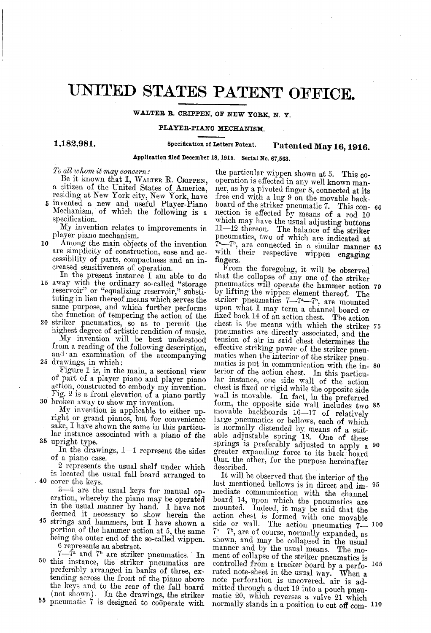# UNITED STATES PATENT OFFICE,

### WALTER R. CRIPPEN, OF NEW YORK, N. Y.

#### PLAYER-PIANO MECHANISM.

#### 1,182,981.

## Specification of Letters Patent. Patented May 16, 1916.

Application filed December 18, 1915. Serial No. 67,563.

To all whom it may concern:

Be it known that I, WALTER R. CRIPPEN,<br>a citizen of the United States of America,

residing at New York city, New York, have invented a new and useful Player-Piano Mechanism, of which the following is a specification. 5

My invention relates to improvements in player piano mechanism.

- 10 Among the main objects of the invention<br>are simplicity of construction, ease and ac-Among the main objects of the invention cessibility of parts, compactness and an increased sensitiveness of operation.
- In the present instance I am able to do 15 away with the ordinary so-called "storage reservoir," or "equalizing reservoir," substituting in lieu thereof means which serves the same purpose, and which further performs the function of tempering the action of the
- 20 striker pneumatics, so as to permit the 25 drawings, in which: highest degree of artistic rendition of music.<br>My invention will be best understood from a reading of the following description, and an examination of the accompanying drawings, in which:<br>drawings, in which:<br>Figure 1 is, in the main, a sectional view

Fig. 2 is a front elevation of a piano partly<br>30 broken away to show my invention. of part of a player piano and player piano<br>action, constructed to embody my invention.<br>Fig. 2 is a front elevation of a piano partly<br>broken away to show my invention.<br>My invention is applicable to either up-

35 upright type. right or grand pianos, but for convenience sake, I have shown the same in this particular instance associated with a piano of the

In the drawings, 1-1 represent the sides<br>of a piano case.<br>2 represents the usual shelf under which

40 cover the keys. is located the usual fall board arranged to

 $3-4$  are the usual keys for manual operation, whereby the piano may be operated<br>in the usual manner by hand. I have not<br>deemed it necessary to show herein the<br>strings and hammers, but I have shown a<br>portion of the hammer

- 45 strings and hammers, but I have shown a
- 50 55 the keys and to the rear of the fall board (not shown). In the drawings, the striker pneumatic 7 is designed to coöperate with  $7-\gamma^2$  and  $\gamma^6$  are striker pneumatics. In this instance, the striker pneumatics are preferably arranged in banks of three, extending across the front of the piano above<br>the keys and to the rear of the fall board

the particular wippen shown at 5. This cooperation is effected in any well known manner, as by a pivoted finger 8, connected at its free end with a lug 9 on the movable backnection is effected by means of a rod 10 which may have the usual adjusting buttons 11-12 thereon. The balance of the striker pneumatics, two of which are indicated at  $T^2$ , are connected in a similar manner 65<br>with their respective wippen engaging<br>fingers. board of the striker pneumatic 7. This con- 60

From the foregoing, it will be observed that the collapse of any one of the striker pneumatics will operate the hammer action by lifting the wippen element thereof. The striker pneumatics  $7-7^2$ , are mounted upon what I may term a channel board or  $f_1$ ixed back 14 of an action chest. The action pneumatics are directly associated, and the tension of air in said chest determines the effective striking power of the striker pneu-<br>matics when the interior of the striker pneu-<br>matics is put in communication with the in-<br>terior of the action chest. In this particu-<br>lar instance, one side wall of the actio movable backboards 16-17 of relatively large pneumatics or bellows, each of which is normally distended by means of a suitable adjustable spring 18. One of these springs is preferably adjusted to apply a 90 greater expanding force to its back board than the other, for the purpose hereinafter described. pneumatics will operate the hammer action 70 75 matics is put in communication with the in-80 form, the opposite side wall includes two 85

It will be observed that the interior of the last mentioned bellows is in direct and im 95 mediate communication with the channel board 14, upon which the pneumatics are mounted. Indeed, it may be said that the action chest is formed with one movable action chest is formed with one movable<br>side or wall. The action pneumatics  $7-10$ <br> $7^a$ - $7^b$ , are of course, normally expanded, as<br>shown, and may be collapsed in the usual shown, and may be collapsed in the usual manner and by the usual means. The moment of collapse of the striker pneumatics is controlled from a tracker board by a perforated note-sheet in the usual way. When a note-sheet in the usual way. When a mitted through a duct 19 into a pouch pneu-matic 20, which reverses a valve 21 which 00 105 normally stands in a position to cut off com- 110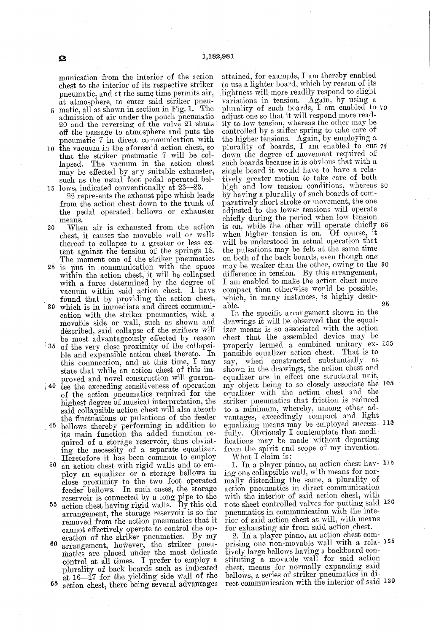munication from the interior of the action<br>chest to the interior of its respective striker

- pneumatic, and at the same time permits air,<br>at atmosphere, to enter said striker pneu-<br>5 matic, all as shown in section in Fig. 1. The<br>admission of air under the pouch pneumatic<br>20 and the reversing of the valve 21 shuts<br> pneumatic 7 in direct communication with<br>10 the vacuum in the aforesaid action chest, so
- the vacuum in the aforesaid action chest, so that the striker pneumatic 7 will be col lapsed. The vacuum in the action chest may be effected by any suitable exhauster, such as the usual foot pedal operated bel-
- 15 lows, indicated conventionally at 23-23. 22 represents the exhaust pipe which leads from the action chest down to the trunk of the pedal operated bellows or exhauster means.
- 20 When air is exhausted from the action<br>chest, it causes the movable wall or walls thereof to collapse to a greater or less extent against the tension of the springs 18.<br>The moment one of the striker pneumatics
- 25 is put in communication with the space The moment one of the striker pneumatics is put in communication with the space within the action chest, it will be collapsed with a force determined by the degree of vacuum. Within said action chest. I have
- found that by providing the action chest, 30 which is in immediate and direct communication with the striker pneumatics, with a movable side or wall, such as shown and
- 35 of the very close proximity of the collapsidescribed, said collapse of the strikers will be most advantageously effected by reason of the very close proximity of the collapsi-<br>ble and expansible action chest thereto. In this connnection, and at this time, I may state that while an action chest of this im-<br>proved and novel construction will guaran-
- $\frac{1}{40}$  tee the exceeding sensitiveness of operation of the action pneumatics required for the highest degree of musical interpretation, the said collapsible action chest will also absorb<br>the fluctuations or pulsations of the feeder
- 45 the fluctuations or pulsations of the feeder bellows thereby performing in addition to its main function the added function re ing the necessity of a separate equalizer.<br>Heretofore it has been common to employ an action chest with rigid walls and to em-
- 50 ploy an equalizer or a storage bellows in close proximity to the two foot operated feeder bellows. In such cases, the storage reservoir is connected by a long pipe to the action chest having rigid walls. By this old
- 55 arrangement, the storage reservoir is so far removed from the action pneumatics that it cannot effectively operate to control the op-
- 60 plurality of back boards such as indicated<br>at 16—17 for the yielding side wall of the<br>65 potion chest there being several advantages eration of the striker pneumatics. By my<br>arrangement, however, the striker pneu-<br>matics are placed under the most delicate<br>control at all times. I prefer to employ a
- action chest, there being several advantages

attained, for example, I am thereby enabled<br>to use a lighter board, which by reason of its lightness will more readily respond to slight<br>variations in tension. Again, by using a adjust one so that it will respond more readily to low tension, whereas the other may be controlled by a stiffer spring to take care of<br>the higher tensions. Again, by employing a<br>plurality of boards, I am enabled to cut 75 plurality of such boards, I am enabled to 70 down the degree of movement required of such boards because it is obvious that with a such boards because it is obvious that with a<br>single board it would have to have a rela-<br>tively greater motion to take care of both<br>high and low tension conditions, whereas t<br>by having a plurality of such boards of comparatively short stroke or movement, the one<br>adjusted to the lower tensions will operate<br>chiefly during the period when low tension<br>is on, while the other will operate chiefly<br>when higher tension is on. Of course, it<br>will the pulsations may be felt at the same time on both of the back boards, even though one difference in tension. By this arrangement, I am enabled to make the action chest more compact than otherwise would be possible, which, in many instances, is highly desirable. 80. 85. may be weaker than the other, owing to the 90 95

In the specific arrangement shown in the In the specific arrangement shown in the<br>drawings it will be observed that the equal-<br>izer means is so associated with the action<br>chest that the assembled device may be<br>properly termed a combined unitary ex-<br>pansible equal say, when constructed substantially as shown in the drawings, the action chest and equalizer are in effect one structural unit, equalizer are in effect one structural unit, my object being to so closely associate the striker pneumatics that friction is reduced<br>to a minimum, whereby, among other ad-The minimum of minimum compact and light equalizing means may be employed success-<br>intervalse fully. Obviously I contemplate that modifications may be made without departing from the spirit and scope of my invention.  $\boldsymbol{\sigma}$ 

What I claim is:

1. In a player piano, an action chest hav- $^{13.5}$ . ing one collapsible Wall, with means for nor mally distending the same, a plurality of action pneumatics in direct communication with the interior of said action chest, with pneumatics in communication with the interior of said action chest at will, with means for exhausting air from said action chest. note sheet controlled valves for putting said 120

for exhausting air from said action chest.<br>2. In a player piano, an action chest com-<br>prising one non-movable wall with a rela-<br>tively large bellows having a backboard con-<br>stituting a movable wall for said action<br>chest, m bellows, a series of striker pneumatics in di 2 rect communication with the interior of Said '86